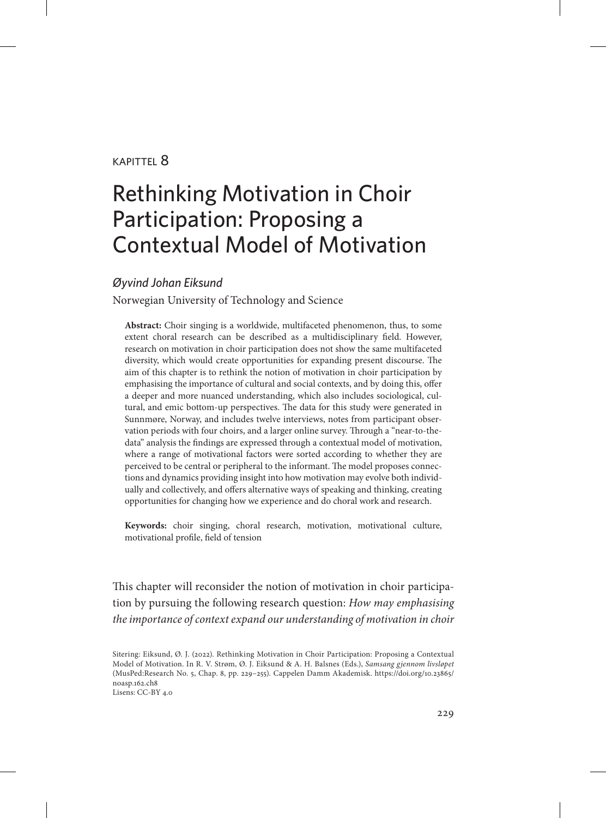#### kapittel 8

# Rethinking Motivation in Choir Participation: Proposing a Contextual Model of Motivation

#### *Øyvind Johan Eiksund*

Norwegian University of Technology and Science

**Abstract:** Choir singing is a worldwide, multifaceted phenomenon, thus, to some extent choral research can be described as a multidisciplinary field. However, research on motivation in choir participation does not show the same multifaceted diversity, which would create opportunities for expanding present discourse. The aim of this chapter is to rethink the notion of motivation in choir participation by emphasising the importance of cultural and social contexts, and by doing this, offer a deeper and more nuanced understanding, which also includes sociological, cultural, and emic bottom-up perspectives. The data for this study were generated in Sunnmøre, Norway, and includes twelve interviews, notes from participant observation periods with four choirs, and a larger online survey. Through a "near-to-thedata" analysis the findings are expressed through a contextual model of motivation, where a range of motivational factors were sorted according to whether they are perceived to be central or peripheral to the informant. The model proposes connections and dynamics providing insight into how motivation may evolve both individually and collectively, and offers alternative ways of speaking and thinking, creating opportunities for changing how we experience and do choral work and research.

**Keywords:** choir singing, choral research, motivation, motivational culture, motivational profile, field of tension

This chapter will reconsider the notion of motivation in choir participation by pursuing the following research question: *How may emphasising the importance of context expand our understanding of motivation in choir* 

Sitering: Eiksund, Ø. J. (2022). Rethinking Motivation in Choir Participation: Proposing a Contextual Model of Motivation. In R. V. Strøm, Ø. J. Eiksund & A. H. Balsnes (Eds.), *Samsang gjennom livsløpet*  (MusPed:Research No. 5, Chap. 8, pp. 229–255). Cappelen Damm Akademisk. [https://doi.org/10.23865/](https://doi.org/10.23865/noasp.162.ch8) [noasp.162.ch8](https://doi.org/10.23865/noasp.162.ch8) Lisens: CC-BY 4.0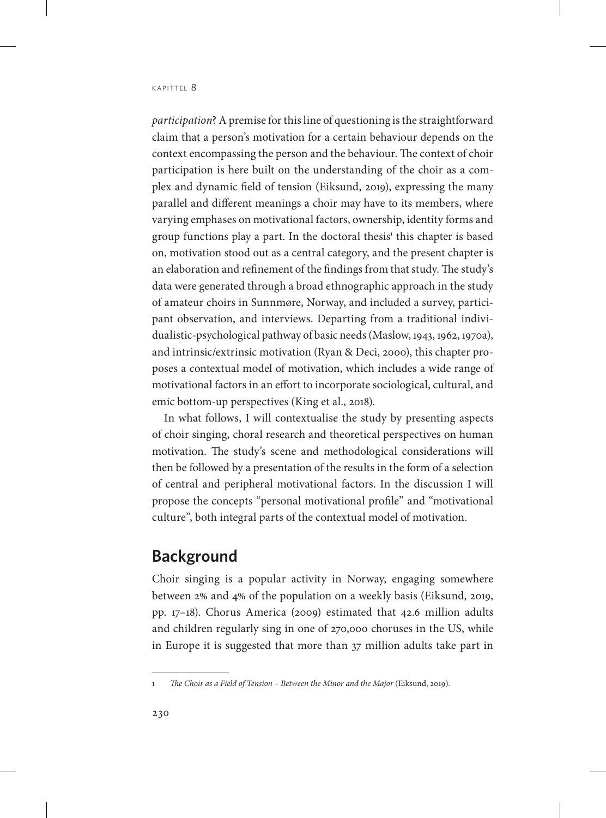*participation*? A premise for this line of questioning is the straightforward claim that a person's motivation for a certain behaviour depends on the context encompassing the person and the behaviour. The context of choir participation is here built on the understanding of the choir as a complex and dynamic field of tension (Eiksund, 2019), expressing the many parallel and different meanings a choir may have to its members, where varying emphases on motivational factors, ownership, identity forms and group functions play a part. In the doctoral thesis<sup>1</sup> this chapter is based on, motivation stood out as a central category, and the present chapter is an elaboration and refinement of the findings from that study. The study's data were generated through a broad ethnographic approach in the study of amateur choirs in Sunnmøre, Norway, and included a survey, participant observation, and interviews. Departing from a traditional individualistic-psychological pathway of basic needs (Maslow, 1943, 1962, 1970a), and intrinsic/extrinsic motivation (Ryan & Deci, 2000), this chapter proposes a contextual model of motivation, which includes a wide range of motivational factors in an effort to incorporate sociological, cultural, and emic bottom-up perspectives (King et al., 2018).

In what follows, I will contextualise the study by presenting aspects of choir singing, choral research and theoretical perspectives on human motivation. The study's scene and methodological considerations will then be followed by a presentation of the results in the form of a selection of central and peripheral motivational factors. In the discussion I will propose the concepts "personal motivational profile" and "motivational culture", both integral parts of the contextual model of motivation.

## **Background**

Choir singing is a popular activity in Norway, engaging somewhere between 2% and 4% of the population on a weekly basis (Eiksund, 2019, pp. 17–18). Chorus America (2009) estimated that 42.6 million adults and children regularly sing in one of 270,000 choruses in the US, while in Europe it is suggested that more than 37 million adults take part in

The Choir as a Field of Tension - Between the Minor and the Major (Eiksund, 2019).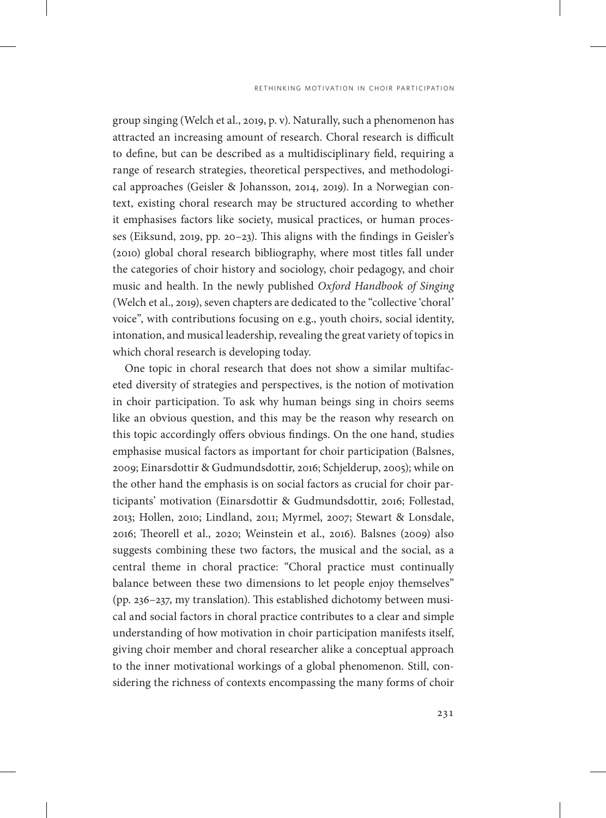group singing (Welch et al., 2019, p. v). Naturally, such a phenomenon has attracted an increasing amount of research. Choral research is difficult to define, but can be described as a multidisciplinary field, requiring a range of research strategies, theoretical perspectives, and methodological approaches (Geisler & Johansson, 2014, 2019). In a Norwegian context, existing choral research may be structured according to whether it emphasises factors like society, musical practices, or human processes (Eiksund, 2019, pp. 20–23). This aligns with the findings in Geisler's (2010) global choral research bibliography, where most titles fall under the categories of choir history and sociology, choir pedagogy, and choir music and health. In the newly published *Oxford Handbook of Singing*  (Welch et al., 2019), seven chapters are dedicated to the "collective 'choral' voice", with contributions focusing on e.g., youth choirs, social identity, intonation, and musical leadership, revealing the great variety of topics in which choral research is developing today.

One topic in choral research that does not show a similar multifaceted diversity of strategies and perspectives, is the notion of motivation in choir participation. To ask why human beings sing in choirs seems like an obvious question, and this may be the reason why research on this topic accordingly offers obvious findings. On the one hand, studies emphasise musical factors as important for choir participation (Balsnes, 2009; Einarsdottir & Gudmundsdottir, 2016; Schjelderup, 2005); while on the other hand the emphasis is on social factors as crucial for choir participants' motivation (Einarsdottir & Gudmundsdottir, 2016; Follestad, 2013; Hollen, 2010; Lindland, 2011; Myrmel, 2007; Stewart & Lonsdale, 2016; Theorell et al., 2020; Weinstein et al., 2016). Balsnes (2009) also suggests combining these two factors, the musical and the social, as a central theme in choral practice: "Choral practice must continually balance between these two dimensions to let people enjoy themselves" (pp. 236–237, my translation). This established dichotomy between musical and social factors in choral practice contributes to a clear and simple understanding of how motivation in choir participation manifests itself, giving choir member and choral researcher alike a conceptual approach to the inner motivational workings of a global phenomenon. Still, considering the richness of contexts encompassing the many forms of choir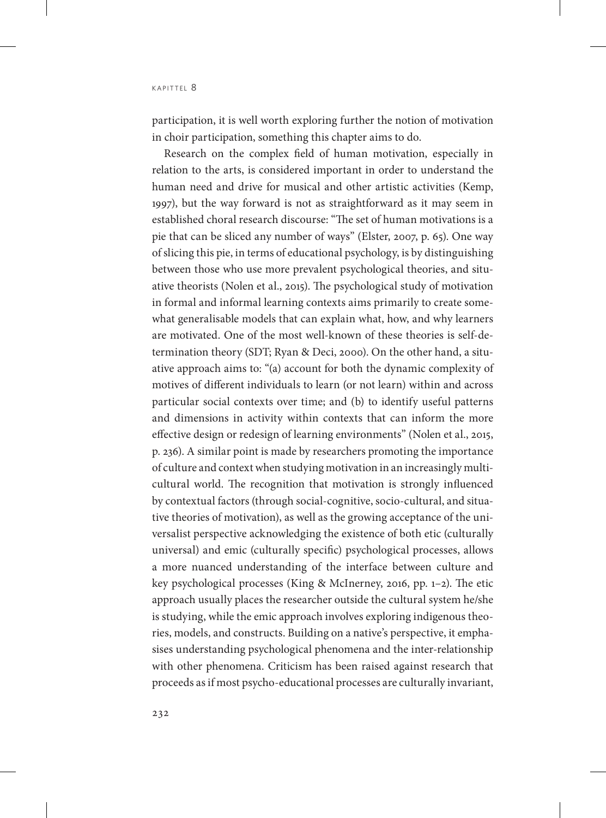participation, it is well worth exploring further the notion of motivation in choir participation, something this chapter aims to do.

Research on the complex field of human motivation, especially in relation to the arts, is considered important in order to understand the human need and drive for musical and other artistic activities (Kemp, 1997), but the way forward is not as straightforward as it may seem in established choral research discourse: "The set of human motivations is a pie that can be sliced any number of ways" (Elster, 2007, p. 65). One way of slicing this pie, in terms of educational psychology, is by distinguishing between those who use more prevalent psychological theories, and situative theorists (Nolen et al., 2015). The psychological study of motivation in formal and informal learning contexts aims primarily to create somewhat generalisable models that can explain what, how, and why learners are motivated. One of the most well-known of these theories is self-determination theory (SDT; Ryan & Deci, 2000). On the other hand, a situative approach aims to: "(a) account for both the dynamic complexity of motives of different individuals to learn (or not learn) within and across particular social contexts over time; and (b) to identify useful patterns and dimensions in activity within contexts that can inform the more effective design or redesign of learning environments" (Nolen et al., 2015, p. 236). A similar point is made by researchers promoting the importance of culture and context when studying motivation in an increasingly multicultural world. The recognition that motivation is strongly influenced by contextual factors (through social-cognitive, socio-cultural, and situative theories of motivation), as well as the growing acceptance of the universalist perspective acknowledging the existence of both etic (culturally universal) and emic (culturally specific) psychological processes, allows a more nuanced understanding of the interface between culture and key psychological processes (King & McInerney, 2016, pp. 1–2). The etic approach usually places the researcher outside the cultural system he/she is studying, while the emic approach involves exploring indigenous theories, models, and constructs. Building on a native's perspective, it emphasises understanding psychological phenomena and the inter-relationship with other phenomena. Criticism has been raised against research that proceeds as if most psycho-educational processes are culturally invariant,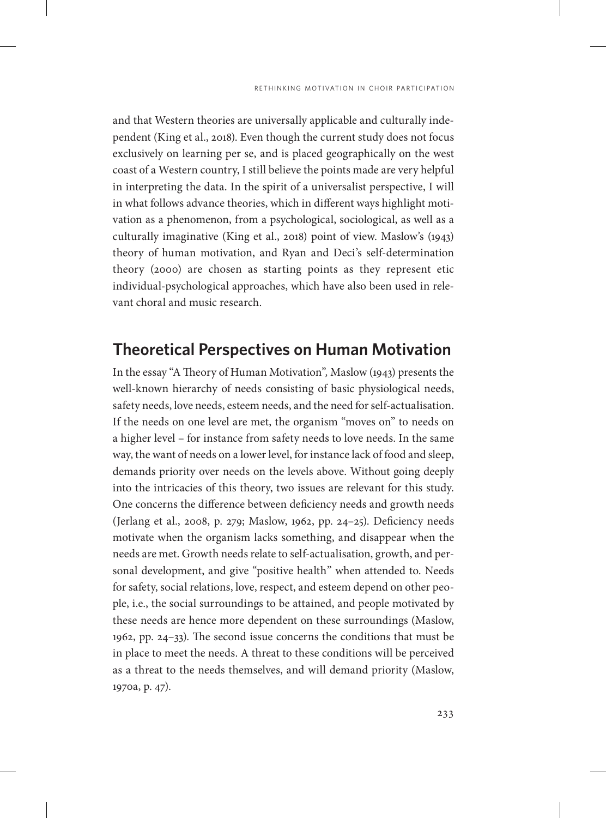and that Western theories are universally applicable and culturally independent (King et al., 2018). Even though the current study does not focus exclusively on learning per se, and is placed geographically on the west coast of a Western country, I still believe the points made are very helpful in interpreting the data. In the spirit of a universalist perspective, I will in what follows advance theories, which in different ways highlight motivation as a phenomenon, from a psychological, sociological, as well as a culturally imaginative (King et al., 2018) point of view. Maslow's (1943) theory of human motivation, and Ryan and Deci's self-determination theory (2000) are chosen as starting points as they represent etic individual-psychological approaches, which have also been used in relevant choral and music research.

## **Theoretical Perspectives on Human Motivation**

In the essay "A Theory of Human Motivation"*,* Maslow (1943) presents the well-known hierarchy of needs consisting of basic physiological needs, safety needs, love needs, esteem needs, and the need for self-actualisation. If the needs on one level are met, the organism "moves on" to needs on a higher level – for instance from safety needs to love needs. In the same way, the want of needs on a lower level, for instance lack of food and sleep, demands priority over needs on the levels above. Without going deeply into the intricacies of this theory, two issues are relevant for this study. One concerns the difference between deficiency needs and growth needs (Jerlang et al., 2008, p. 279; Maslow, 1962, pp. 24–25). Deficiency needs motivate when the organism lacks something, and disappear when the needs are met. Growth needs relate to self-actualisation, growth, and personal development, and give "positive health" when attended to. Needs for safety, social relations, love, respect, and esteem depend on other people, i.e., the social surroundings to be attained, and people motivated by these needs are hence more dependent on these surroundings (Maslow, 1962, pp. 24–33). The second issue concerns the conditions that must be in place to meet the needs. A threat to these conditions will be perceived as a threat to the needs themselves, and will demand priority (Maslow, 1970a, p. 47).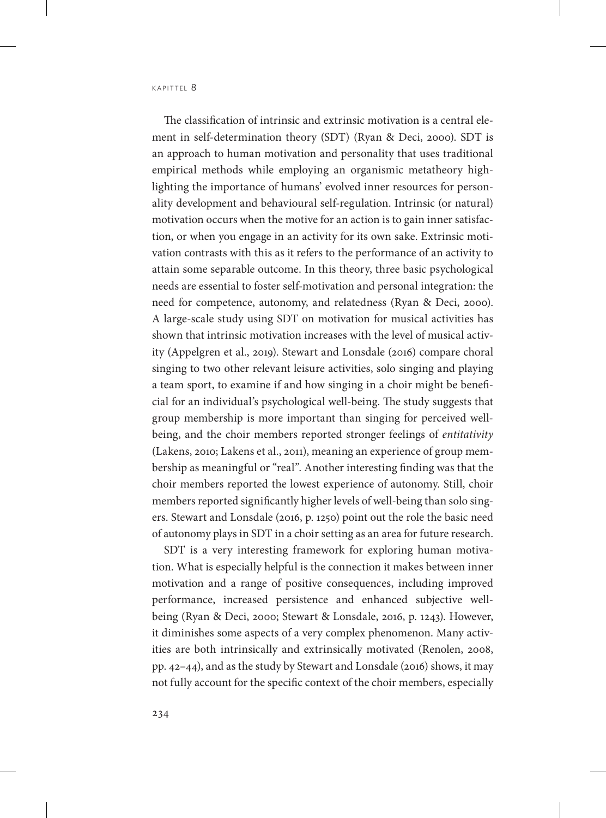The classification of intrinsic and extrinsic motivation is a central element in self-determination theory (SDT) (Ryan & Deci, 2000). SDT is an approach to human motivation and personality that uses traditional empirical methods while employing an organismic metatheory highlighting the importance of humans' evolved inner resources for personality development and behavioural self-regulation. Intrinsic (or natural) motivation occurs when the motive for an action is to gain inner satisfaction, or when you engage in an activity for its own sake. Extrinsic motivation contrasts with this as it refers to the performance of an activity to attain some separable outcome. In this theory, three basic psychological needs are essential to foster self-motivation and personal integration: the need for competence, autonomy, and relatedness (Ryan & Deci, 2000). A large-scale study using SDT on motivation for musical activities has shown that intrinsic motivation increases with the level of musical activity (Appelgren et al., 2019). Stewart and Lonsdale (2016) compare choral singing to two other relevant leisure activities, solo singing and playing a team sport, to examine if and how singing in a choir might be beneficial for an individual's psychological well-being. The study suggests that group membership is more important than singing for perceived wellbeing, and the choir members reported stronger feelings of *entitativity* (Lakens, 2010; Lakens et al., 2011), meaning an experience of group membership as meaningful or "real". Another interesting finding was that the choir members reported the lowest experience of autonomy. Still, choir members reported significantly higher levels of well-being than solo singers. Stewart and Lonsdale (2016, p. 1250) point out the role the basic need of autonomy plays in SDT in a choir setting as an area for future research.

SDT is a very interesting framework for exploring human motivation. What is especially helpful is the connection it makes between inner motivation and a range of positive consequences, including improved performance, increased persistence and enhanced subjective wellbeing (Ryan & Deci, 2000; Stewart & Lonsdale, 2016, p. 1243). However, it diminishes some aspects of a very complex phenomenon. Many activities are both intrinsically and extrinsically motivated (Renolen, 2008, pp. 42–44), and as the study by Stewart and Lonsdale (2016) shows, it may not fully account for the specific context of the choir members, especially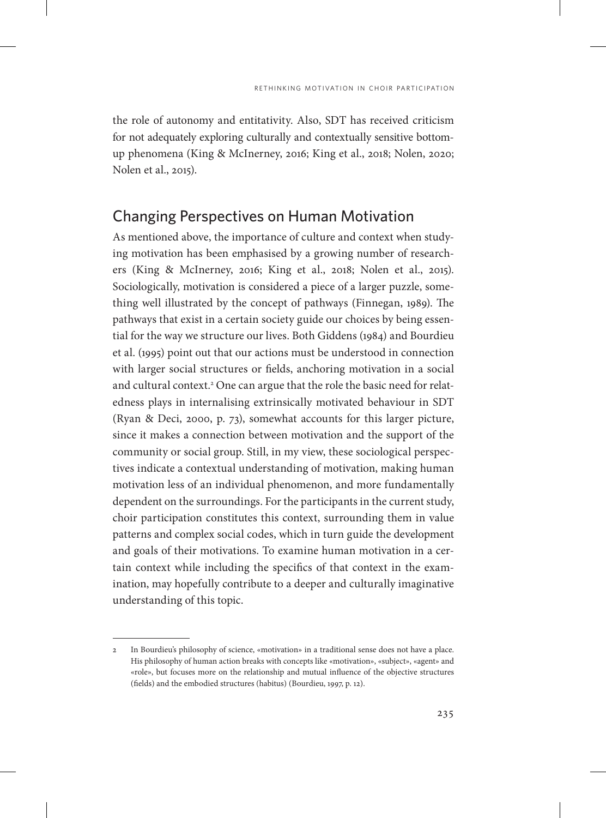the role of autonomy and entitativity. Also, SDT has received criticism for not adequately exploring culturally and contextually sensitive bottomup phenomena (King & McInerney, 2016; King et al., 2018; Nolen, 2020; Nolen et al., 2015).

#### Changing Perspectives on Human Motivation

As mentioned above, the importance of culture and context when studying motivation has been emphasised by a growing number of researchers (King & McInerney, 2016; King et al., 2018; Nolen et al., 2015). Sociologically, motivation is considered a piece of a larger puzzle, something well illustrated by the concept of pathways (Finnegan, 1989). The pathways that exist in a certain society guide our choices by being essential for the way we structure our lives. Both Giddens (1984) and Bourdieu et al. (1995) point out that our actions must be understood in connection with larger social structures or fields, anchoring motivation in a social and cultural context.<sup>2</sup> One can argue that the role the basic need for relatedness plays in internalising extrinsically motivated behaviour in SDT (Ryan & Deci, 2000, p. 73), somewhat accounts for this larger picture, since it makes a connection between motivation and the support of the community or social group. Still, in my view, these sociological perspectives indicate a contextual understanding of motivation, making human motivation less of an individual phenomenon, and more fundamentally dependent on the surroundings. For the participants in the current study, choir participation constitutes this context, surrounding them in value patterns and complex social codes, which in turn guide the development and goals of their motivations. To examine human motivation in a certain context while including the specifics of that context in the examination, may hopefully contribute to a deeper and culturally imaginative understanding of this topic.

<sup>2</sup> In Bourdieu's philosophy of science, «motivation» in a traditional sense does not have a place. His philosophy of human action breaks with concepts like «motivation», «subject», «agent» and «role», but focuses more on the relationship and mutual influence of the objective structures (fields) and the embodied structures (habitus) (Bourdieu, 1997, p. 12).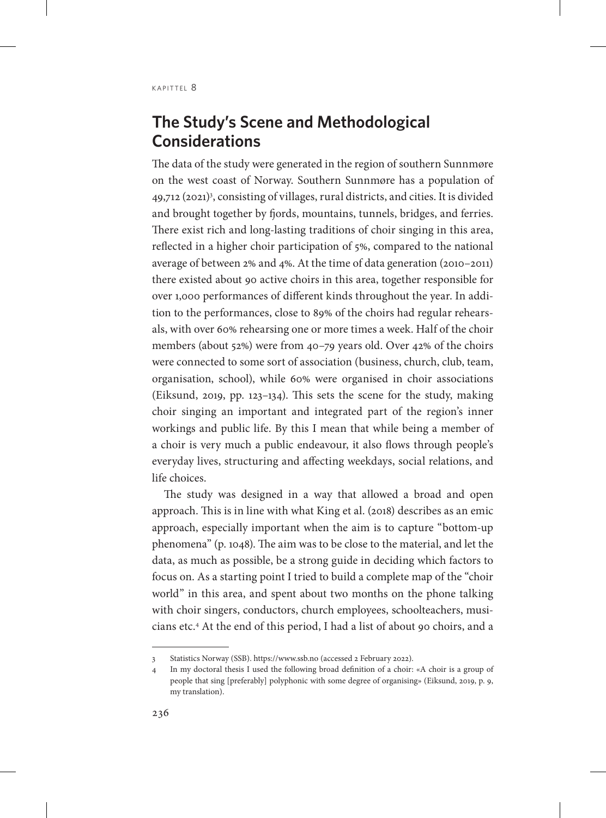# **The Study's Scene and Methodological Considerations**

The data of the study were generated in the region of southern Sunnmøre on the west coast of Norway. Southern Sunnmøre has a population of 49,712 (2021)3 , consisting of villages, rural districts, and cities. It is divided and brought together by fjords, mountains, tunnels, bridges, and ferries. There exist rich and long-lasting traditions of choir singing in this area, reflected in a higher choir participation of 5%, compared to the national average of between 2% and 4%. At the time of data generation (2010–2011) there existed about 90 active choirs in this area, together responsible for over 1,000 performances of different kinds throughout the year. In addition to the performances, close to 89% of the choirs had regular rehearsals, with over 60% rehearsing one or more times a week. Half of the choir members (about 52%) were from 40–79 years old. Over 42% of the choirs were connected to some sort of association (business, church, club, team, organisation, school), while 60% were organised in choir associations (Eiksund, 2019, pp. 123–134). This sets the scene for the study, making choir singing an important and integrated part of the region's inner workings and public life. By this I mean that while being a member of a choir is very much a public endeavour, it also flows through people's everyday lives, structuring and affecting weekdays, social relations, and life choices.

The study was designed in a way that allowed a broad and open approach. This is in line with what King et al. (2018) describes as an emic approach, especially important when the aim is to capture "bottom-up phenomena" (p. 1048). The aim was to be close to the material, and let the data, as much as possible, be a strong guide in deciding which factors to focus on. As a starting point I tried to build a complete map of the "choir world" in this area, and spent about two months on the phone talking with choir singers, conductors, church employees, schoolteachers, musicians etc.4 At the end of this period, I had a list of about 90 choirs, and a

<sup>3</sup> Statistics Norway (SSB). <https://www.ssb.no>(accessed 2 February 2022).

<sup>4</sup> In my doctoral thesis I used the following broad definition of a choir: «A choir is a group of people that sing [preferably] polyphonic with some degree of organising» (Eiksund, 2019, p. 9, my translation).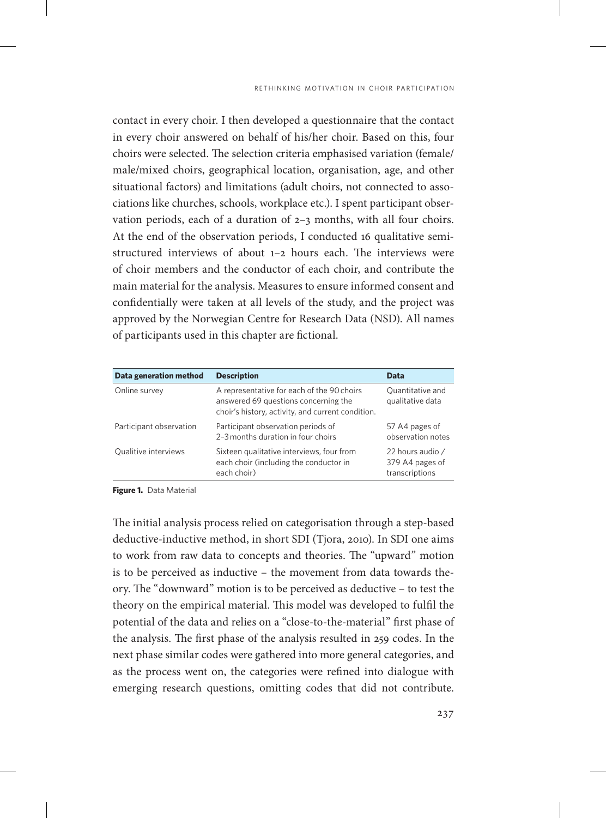contact in every choir. I then developed a questionnaire that the contact in every choir answered on behalf of his/her choir. Based on this, four choirs were selected. The selection criteria emphasised variation (female/ male/mixed choirs, geographical location, organisation, age, and other situational factors) and limitations (adult choirs, not connected to associations like churches, schools, workplace etc.). I spent participant observation periods, each of a duration of 2–3 months, with all four choirs. At the end of the observation periods, I conducted 16 qualitative semistructured interviews of about 1–2 hours each. The interviews were of choir members and the conductor of each choir, and contribute the main material for the analysis. Measures to ensure informed consent and confidentially were taken at all levels of the study, and the project was approved by the Norwegian Centre for Research Data (NSD). All names of participants used in this chapter are fictional.

| Data generation method  | <b>Description</b>                                                                                                                      | Data                                                  |
|-------------------------|-----------------------------------------------------------------------------------------------------------------------------------------|-------------------------------------------------------|
| Online survey           | A representative for each of the 90 choirs<br>answered 69 questions concerning the<br>choir's history, activity, and current condition. | Quantitative and<br>qualitative data                  |
| Participant observation | Participant observation periods of<br>2-3 months duration in four choirs                                                                | 57 A4 pages of<br>observation notes                   |
| Qualitive interviews    | Sixteen qualitative interviews, four from<br>each choir (including the conductor in<br>each choir)                                      | 22 hours audio /<br>379 A4 pages of<br>transcriptions |

**Figure 1.** Data Material

The initial analysis process relied on categorisation through a step-based deductive-inductive method, in short SDI (Tjora, 2010). In SDI one aims to work from raw data to concepts and theories. The "upward" motion is to be perceived as inductive – the movement from data towards theory. The "downward" motion is to be perceived as deductive – to test the theory on the empirical material. This model was developed to fulfil the potential of the data and relies on a "close-to-the-material" first phase of the analysis. The first phase of the analysis resulted in 259 codes. In the next phase similar codes were gathered into more general categories, and as the process went on, the categories were refined into dialogue with emerging research questions, omitting codes that did not contribute.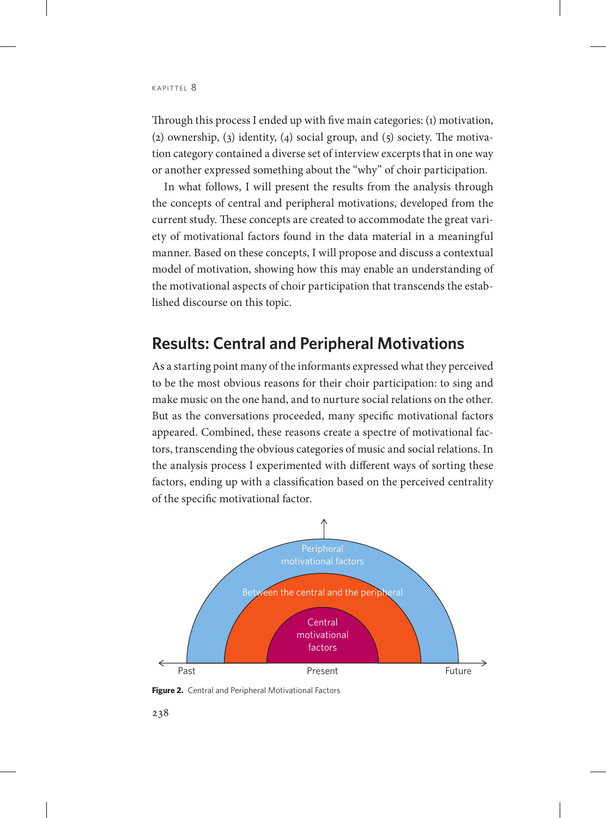Through this process I ended up with five main categories: (1) motivation, (2) ownership, (3) identity, (4) social group, and (5) society. The motivation category contained a diverse set of interview excerpts that in one way or another expressed something about the "why" of choir participation.

In what follows, I will present the results from the analysis through the concepts of central and peripheral motivations, developed from the current study*.* These concepts are created to accommodate the great variety of motivational factors found in the data material in a meaningful manner. Based on these concepts, I will propose and discuss a contextual model of motivation, showing how this may enable an understanding of the motivational aspects of choir participation that transcends the established discourse on this topic.

## **Results: Central and Peripheral Motivations**

As a starting point many of the informants expressed what they perceived to be the most obvious reasons for their choir participation: to sing and make music on the one hand, and to nurture social relations on the other. But as the conversations proceeded, many specific motivational factors appeared. Combined, these reasons create a spectre of motivational factors, transcending the obvious categories of music and social relations. In the analysis process I experimented with different ways of sorting these factors, ending up with a classification based on the perceived centrality of the specific motivational factor.



**Figure 2.** Central and Peripheral Motivational Factors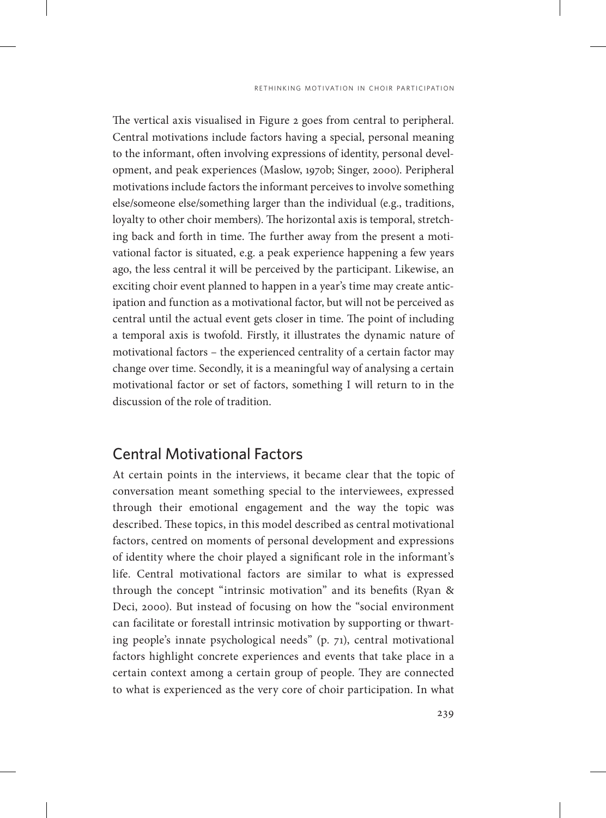The vertical axis visualised in Figure 2 goes from central to peripheral. Central motivations include factors having a special, personal meaning to the informant, often involving expressions of identity, personal development, and peak experiences (Maslow, 1970b; Singer, 2000). Peripheral motivations include factors the informant perceives to involve something else/someone else/something larger than the individual (e.g., traditions, loyalty to other choir members). The horizontal axis is temporal, stretching back and forth in time. The further away from the present a motivational factor is situated, e.g. a peak experience happening a few years ago, the less central it will be perceived by the participant. Likewise, an exciting choir event planned to happen in a year's time may create anticipation and function as a motivational factor, but will not be perceived as central until the actual event gets closer in time. The point of including a temporal axis is twofold. Firstly, it illustrates the dynamic nature of motivational factors – the experienced centrality of a certain factor may change over time. Secondly, it is a meaningful way of analysing a certain motivational factor or set of factors, something I will return to in the discussion of the role of tradition.

#### Central Motivational Factors

At certain points in the interviews, it became clear that the topic of conversation meant something special to the interviewees, expressed through their emotional engagement and the way the topic was described. These topics, in this model described as central motivational factors, centred on moments of personal development and expressions of identity where the choir played a significant role in the informant's life. Central motivational factors are similar to what is expressed through the concept "intrinsic motivation" and its benefits (Ryan & Deci, 2000). But instead of focusing on how the "social environment can facilitate or forestall intrinsic motivation by supporting or thwarting people's innate psychological needs" (p. 71), central motivational factors highlight concrete experiences and events that take place in a certain context among a certain group of people. They are connected to what is experienced as the very core of choir participation. In what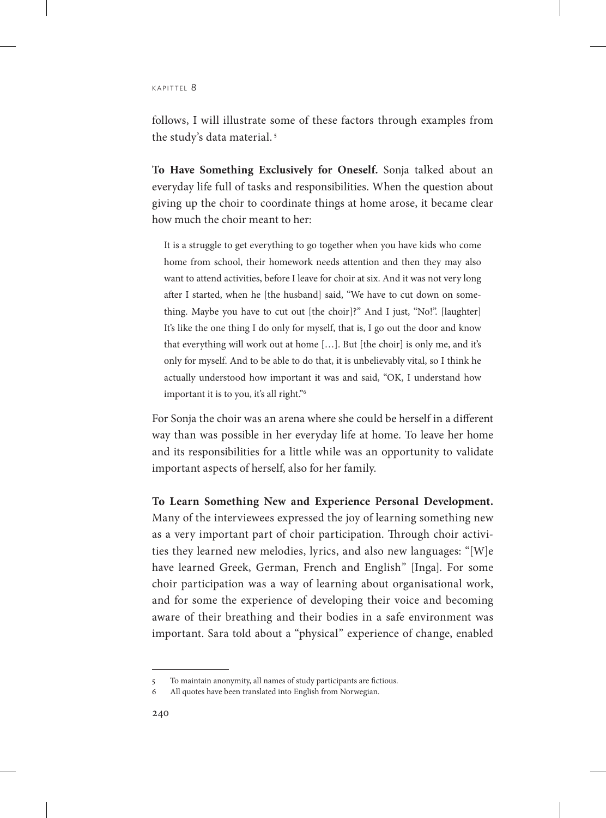follows, I will illustrate some of these factors through examples from the study's data material. 5

**To Have Something Exclusively for Oneself.** Sonja talked about an everyday life full of tasks and responsibilities. When the question about giving up the choir to coordinate things at home arose, it became clear how much the choir meant to her:

It is a struggle to get everything to go together when you have kids who come home from school, their homework needs attention and then they may also want to attend activities, before I leave for choir at six. And it was not very long after I started, when he [the husband] said, "We have to cut down on something. Maybe you have to cut out [the choir]?" And I just, "No!". [laughter] It's like the one thing I do only for myself, that is, I go out the door and know that everything will work out at home […]. But [the choir] is only me, and it's only for myself. And to be able to do that, it is unbelievably vital, so I think he actually understood how important it was and said, "OK, I understand how important it is to you, it's all right."6

For Sonja the choir was an arena where she could be herself in a different way than was possible in her everyday life at home. To leave her home and its responsibilities for a little while was an opportunity to validate important aspects of herself, also for her family.

**To Learn Something New and Experience Personal Development.**  Many of the interviewees expressed the joy of learning something new as a very important part of choir participation. Through choir activities they learned new melodies, lyrics, and also new languages: "[W]e have learned Greek, German, French and English" [Inga]. For some choir participation was a way of learning about organisational work, and for some the experience of developing their voice and becoming aware of their breathing and their bodies in a safe environment was important. Sara told about a "physical" experience of change, enabled

<sup>5</sup> To maintain anonymity, all names of study participants are fictious.

<sup>6</sup> All quotes have been translated into English from Norwegian.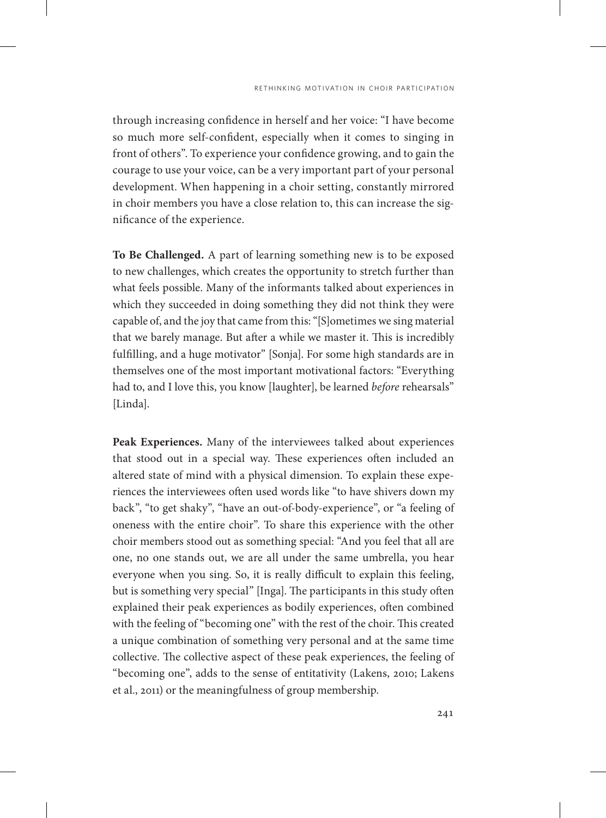through increasing confidence in herself and her voice: "I have become so much more self-confident, especially when it comes to singing in front of others". To experience your confidence growing, and to gain the courage to use your voice, can be a very important part of your personal development. When happening in a choir setting, constantly mirrored in choir members you have a close relation to, this can increase the significance of the experience.

**To Be Challenged.** A part of learning something new is to be exposed to new challenges, which creates the opportunity to stretch further than what feels possible. Many of the informants talked about experiences in which they succeeded in doing something they did not think they were capable of, and the joy that came from this: "[S]ometimes we sing material that we barely manage. But after a while we master it. This is incredibly fulfilling, and a huge motivator" [Sonja]. For some high standards are in themselves one of the most important motivational factors: "Everything had to, and I love this, you know [laughter], be learned *before* rehearsals" [Linda].

**Peak Experiences.** Many of the interviewees talked about experiences that stood out in a special way. These experiences often included an altered state of mind with a physical dimension. To explain these experiences the interviewees often used words like "to have shivers down my back", "to get shaky", "have an out-of-body-experience", or "a feeling of oneness with the entire choir". To share this experience with the other choir members stood out as something special: "And you feel that all are one, no one stands out, we are all under the same umbrella, you hear everyone when you sing. So, it is really difficult to explain this feeling, but is something very special" [Inga]. The participants in this study often explained their peak experiences as bodily experiences, often combined with the feeling of "becoming one" with the rest of the choir. This created a unique combination of something very personal and at the same time collective. The collective aspect of these peak experiences, the feeling of "becoming one", adds to the sense of entitativity (Lakens, 2010; Lakens et al., 2011) or the meaningfulness of group membership.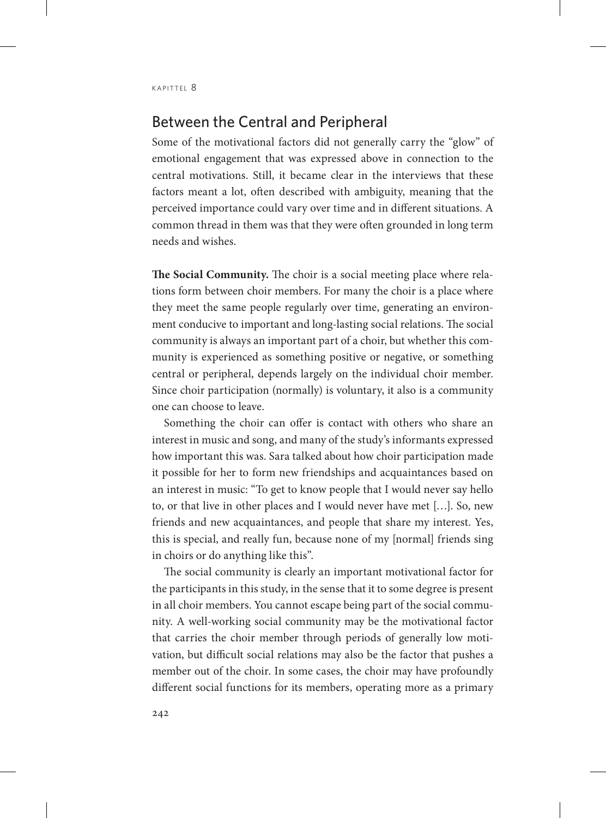#### Between the Central and Peripheral

Some of the motivational factors did not generally carry the "glow" of emotional engagement that was expressed above in connection to the central motivations. Still, it became clear in the interviews that these factors meant a lot, often described with ambiguity, meaning that the perceived importance could vary over time and in different situations. A common thread in them was that they were often grounded in long term needs and wishes.

**The Social Community.** The choir is a social meeting place where relations form between choir members. For many the choir is a place where they meet the same people regularly over time, generating an environment conducive to important and long-lasting social relations. The social community is always an important part of a choir, but whether this community is experienced as something positive or negative, or something central or peripheral, depends largely on the individual choir member. Since choir participation (normally) is voluntary, it also is a community one can choose to leave.

Something the choir can offer is contact with others who share an interest in music and song, and many of the study's informants expressed how important this was. Sara talked about how choir participation made it possible for her to form new friendships and acquaintances based on an interest in music: "To get to know people that I would never say hello to, or that live in other places and I would never have met […]. So, new friends and new acquaintances, and people that share my interest. Yes, this is special, and really fun, because none of my [normal] friends sing in choirs or do anything like this".

The social community is clearly an important motivational factor for the participants in this study, in the sense that it to some degree is present in all choir members. You cannot escape being part of the social community. A well-working social community may be the motivational factor that carries the choir member through periods of generally low motivation, but difficult social relations may also be the factor that pushes a member out of the choir. In some cases, the choir may have profoundly different social functions for its members, operating more as a primary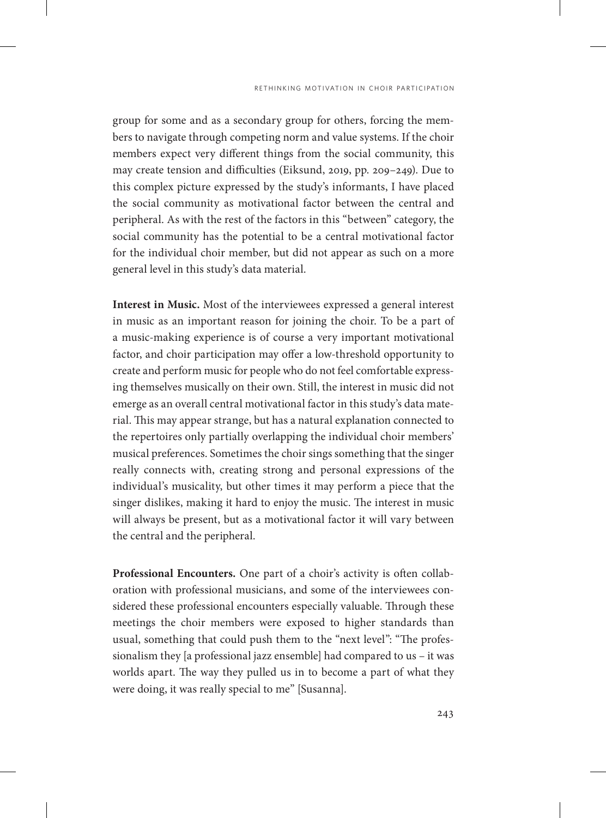group for some and as a secondary group for others, forcing the members to navigate through competing norm and value systems. If the choir members expect very different things from the social community, this may create tension and difficulties (Eiksund, 2019, pp. 209–249). Due to this complex picture expressed by the study's informants, I have placed the social community as motivational factor between the central and peripheral. As with the rest of the factors in this "between" category, the social community has the potential to be a central motivational factor for the individual choir member, but did not appear as such on a more general level in this study's data material.

**Interest in Music.** Most of the interviewees expressed a general interest in music as an important reason for joining the choir. To be a part of a music-making experience is of course a very important motivational factor, and choir participation may offer a low-threshold opportunity to create and perform music for people who do not feel comfortable expressing themselves musically on their own. Still, the interest in music did not emerge as an overall central motivational factor in this study's data material. This may appear strange, but has a natural explanation connected to the repertoires only partially overlapping the individual choir members' musical preferences. Sometimes the choir sings something that the singer really connects with, creating strong and personal expressions of the individual's musicality, but other times it may perform a piece that the singer dislikes, making it hard to enjoy the music. The interest in music will always be present, but as a motivational factor it will vary between the central and the peripheral.

**Professional Encounters.** One part of a choir's activity is often collaboration with professional musicians, and some of the interviewees considered these professional encounters especially valuable. Through these meetings the choir members were exposed to higher standards than usual, something that could push them to the "next level": "The professionalism they [a professional jazz ensemble] had compared to us – it was worlds apart. The way they pulled us in to become a part of what they were doing, it was really special to me" [Susanna].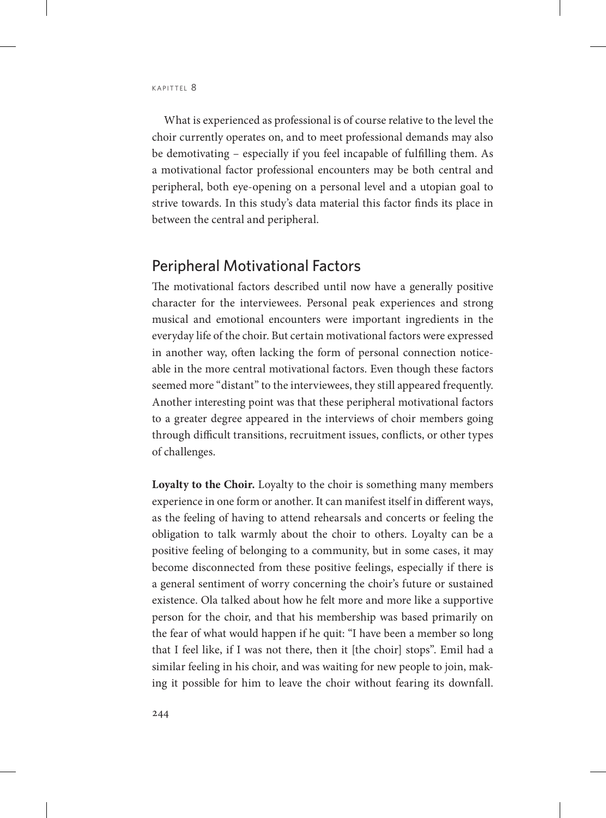What is experienced as professional is of course relative to the level the choir currently operates on, and to meet professional demands may also be demotivating – especially if you feel incapable of fulfilling them. As a motivational factor professional encounters may be both central and peripheral, both eye-opening on a personal level and a utopian goal to strive towards. In this study's data material this factor finds its place in between the central and peripheral.

#### Peripheral Motivational Factors

The motivational factors described until now have a generally positive character for the interviewees. Personal peak experiences and strong musical and emotional encounters were important ingredients in the everyday life of the choir. But certain motivational factors were expressed in another way, often lacking the form of personal connection noticeable in the more central motivational factors. Even though these factors seemed more "distant" to the interviewees, they still appeared frequently. Another interesting point was that these peripheral motivational factors to a greater degree appeared in the interviews of choir members going through difficult transitions, recruitment issues, conflicts, or other types of challenges.

**Loyalty to the Choir.** Loyalty to the choir is something many members experience in one form or another. It can manifest itself in different ways, as the feeling of having to attend rehearsals and concerts or feeling the obligation to talk warmly about the choir to others. Loyalty can be a positive feeling of belonging to a community, but in some cases, it may become disconnected from these positive feelings, especially if there is a general sentiment of worry concerning the choir's future or sustained existence. Ola talked about how he felt more and more like a supportive person for the choir, and that his membership was based primarily on the fear of what would happen if he quit: "I have been a member so long that I feel like, if I was not there, then it [the choir] stops". Emil had a similar feeling in his choir, and was waiting for new people to join, making it possible for him to leave the choir without fearing its downfall.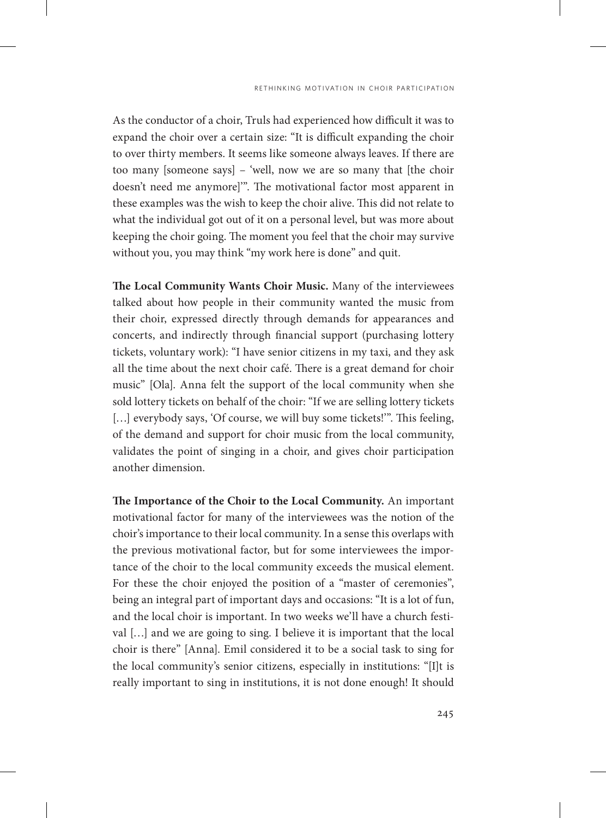As the conductor of a choir, Truls had experienced how difficult it was to expand the choir over a certain size: "It is difficult expanding the choir to over thirty members. It seems like someone always leaves. If there are too many [someone says] - 'well, now we are so many that [the choir doesn't need me anymore]'". The motivational factor most apparent in these examples was the wish to keep the choir alive. This did not relate to what the individual got out of it on a personal level, but was more about keeping the choir going. The moment you feel that the choir may survive without you, you may think "my work here is done" and quit.

**The Local Community Wants Choir Music.** Many of the interviewees talked about how people in their community wanted the music from their choir, expressed directly through demands for appearances and concerts, and indirectly through financial support (purchasing lottery tickets, voluntary work): "I have senior citizens in my taxi, and they ask all the time about the next choir café. There is a great demand for choir music" [Ola]. Anna felt the support of the local community when she sold lottery tickets on behalf of the choir: "If we are selling lottery tickets [...] everybody says, 'Of course, we will buy some tickets!'". This feeling, of the demand and support for choir music from the local community, validates the point of singing in a choir, and gives choir participation another dimension.

**The Importance of the Choir to the Local Community.** An important motivational factor for many of the interviewees was the notion of the choir's importance to their local community. In a sense this overlaps with the previous motivational factor, but for some interviewees the importance of the choir to the local community exceeds the musical element. For these the choir enjoyed the position of a "master of ceremonies", being an integral part of important days and occasions: "It is a lot of fun, and the local choir is important. In two weeks we'll have a church festival […] and we are going to sing. I believe it is important that the local choir is there" [Anna]. Emil considered it to be a social task to sing for the local community's senior citizens, especially in institutions: "[I]t is really important to sing in institutions, it is not done enough! It should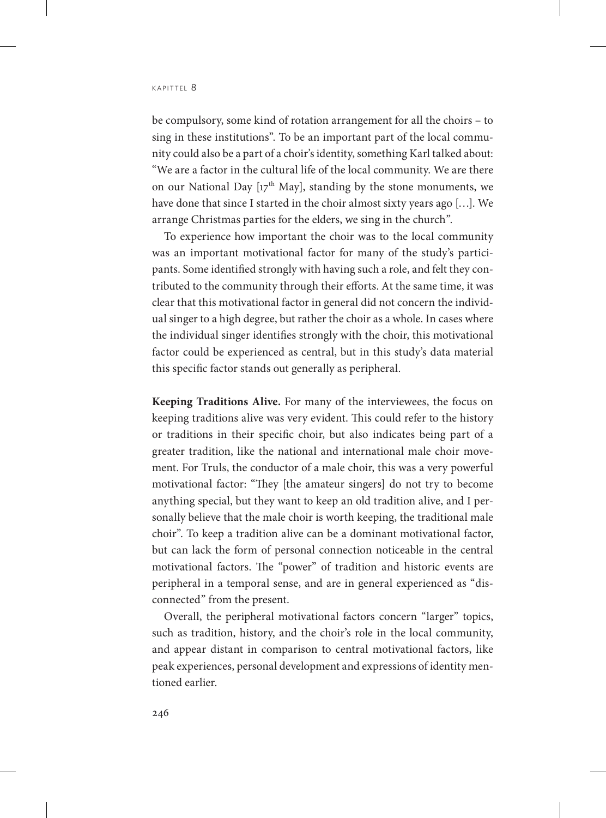be compulsory, some kind of rotation arrangement for all the choirs – to sing in these institutions". To be an important part of the local community could also be a part of a choir's identity, something Karl talked about: "We are a factor in the cultural life of the local community. We are there on our National Day  $[\mathbf{17}^{\text{th}}$  May], standing by the stone monuments, we have done that since I started in the choir almost sixty years ago […]. We arrange Christmas parties for the elders, we sing in the church".

To experience how important the choir was to the local community was an important motivational factor for many of the study's participants. Some identified strongly with having such a role, and felt they contributed to the community through their efforts. At the same time, it was clear that this motivational factor in general did not concern the individual singer to a high degree, but rather the choir as a whole. In cases where the individual singer identifies strongly with the choir, this motivational factor could be experienced as central, but in this study's data material this specific factor stands out generally as peripheral.

**Keeping Traditions Alive.** For many of the interviewees, the focus on keeping traditions alive was very evident. This could refer to the history or traditions in their specific choir, but also indicates being part of a greater tradition, like the national and international male choir movement. For Truls, the conductor of a male choir, this was a very powerful motivational factor: "They [the amateur singers] do not try to become anything special, but they want to keep an old tradition alive, and I personally believe that the male choir is worth keeping, the traditional male choir". To keep a tradition alive can be a dominant motivational factor, but can lack the form of personal connection noticeable in the central motivational factors. The "power" of tradition and historic events are peripheral in a temporal sense, and are in general experienced as "disconnected" from the present.

Overall, the peripheral motivational factors concern "larger" topics, such as tradition, history, and the choir's role in the local community, and appear distant in comparison to central motivational factors, like peak experiences, personal development and expressions of identity mentioned earlier.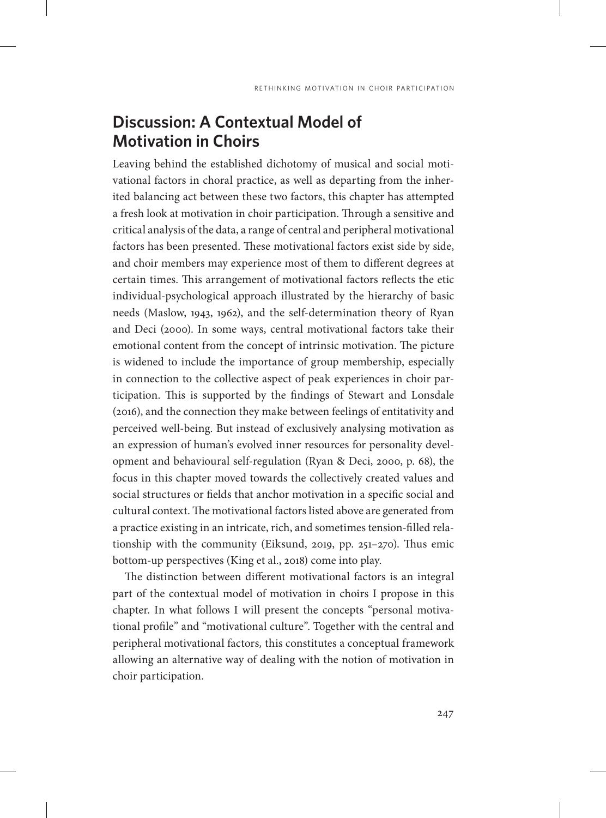# **Discussion: A Contextual Model of Motivation in Choirs**

Leaving behind the established dichotomy of musical and social motivational factors in choral practice, as well as departing from the inherited balancing act between these two factors, this chapter has attempted a fresh look at motivation in choir participation. Through a sensitive and critical analysis of the data, a range of central and peripheral motivational factors has been presented. These motivational factors exist side by side, and choir members may experience most of them to different degrees at certain times. This arrangement of motivational factors reflects the etic individual-psychological approach illustrated by the hierarchy of basic needs (Maslow, 1943, 1962), and the self-determination theory of Ryan and Deci (2000). In some ways, central motivational factors take their emotional content from the concept of intrinsic motivation. The picture is widened to include the importance of group membership, especially in connection to the collective aspect of peak experiences in choir participation. This is supported by the findings of Stewart and Lonsdale (2016), and the connection they make between feelings of entitativity and perceived well-being. But instead of exclusively analysing motivation as an expression of human's evolved inner resources for personality development and behavioural self-regulation (Ryan & Deci, 2000, p. 68), the focus in this chapter moved towards the collectively created values and social structures or fields that anchor motivation in a specific social and cultural context. The motivational factors listed above are generated from a practice existing in an intricate, rich, and sometimes tension-filled relationship with the community (Eiksund, 2019, pp. 251–270). Thus emic bottom-up perspectives (King et al., 2018) come into play.

The distinction between different motivational factors is an integral part of the contextual model of motivation in choirs I propose in this chapter. In what follows I will present the concepts "personal motivational profile" and "motivational culture". Together with the central and peripheral motivational factors*,* this constitutes a conceptual framework allowing an alternative way of dealing with the notion of motivation in choir participation.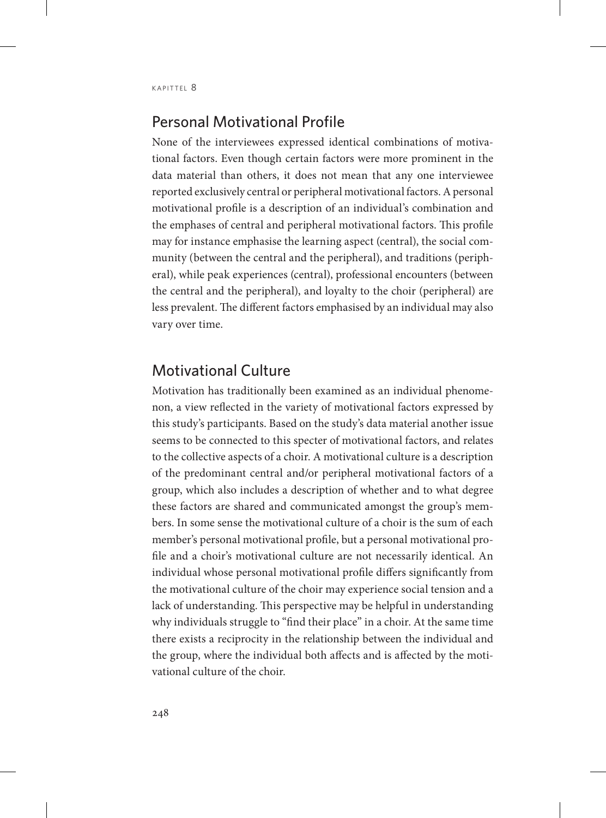### Personal Motivational Profile

None of the interviewees expressed identical combinations of motivational factors. Even though certain factors were more prominent in the data material than others, it does not mean that any one interviewee reported exclusively central or peripheral motivational factors. A personal motivational profile is a description of an individual's combination and the emphases of central and peripheral motivational factors. This profile may for instance emphasise the learning aspect (central), the social community (between the central and the peripheral), and traditions (peripheral), while peak experiences (central), professional encounters (between the central and the peripheral), and loyalty to the choir (peripheral) are less prevalent. The different factors emphasised by an individual may also vary over time.

## Motivational Culture

Motivation has traditionally been examined as an individual phenomenon, a view reflected in the variety of motivational factors expressed by this study's participants. Based on the study's data material another issue seems to be connected to this specter of motivational factors, and relates to the collective aspects of a choir. A motivational culture is a description of the predominant central and/or peripheral motivational factors of a group, which also includes a description of whether and to what degree these factors are shared and communicated amongst the group's members. In some sense the motivational culture of a choir is the sum of each member's personal motivational profile, but a personal motivational profile and a choir's motivational culture are not necessarily identical. An individual whose personal motivational profile differs significantly from the motivational culture of the choir may experience social tension and a lack of understanding. This perspective may be helpful in understanding why individuals struggle to "find their place" in a choir. At the same time there exists a reciprocity in the relationship between the individual and the group, where the individual both affects and is affected by the motivational culture of the choir.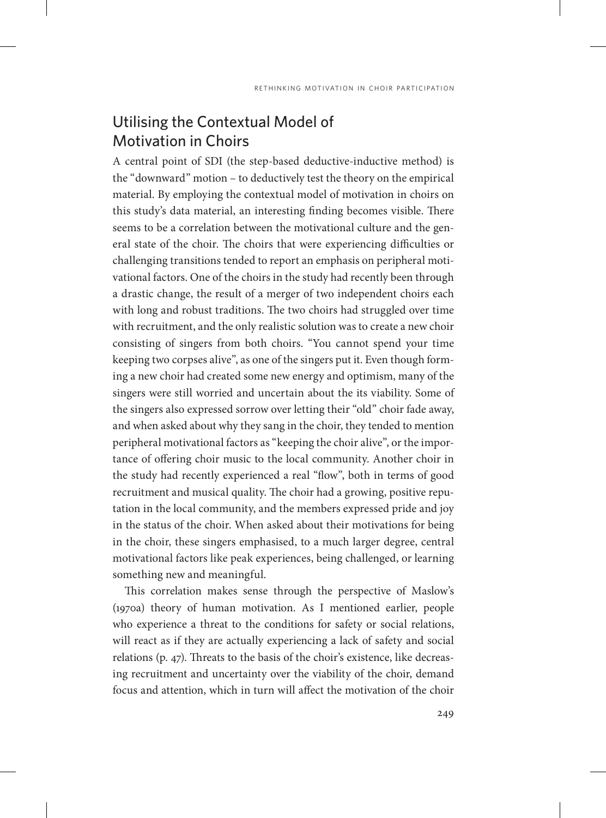## Utilising the Contextual Model of Motivation in Choirs

A central point of SDI (the step-based deductive-inductive method) is the "downward" motion – to deductively test the theory on the empirical material. By employing the contextual model of motivation in choirs on this study's data material, an interesting finding becomes visible. There seems to be a correlation between the motivational culture and the general state of the choir. The choirs that were experiencing difficulties or challenging transitions tended to report an emphasis on peripheral motivational factors. One of the choirs in the study had recently been through a drastic change, the result of a merger of two independent choirs each with long and robust traditions. The two choirs had struggled over time with recruitment, and the only realistic solution was to create a new choir consisting of singers from both choirs. "You cannot spend your time keeping two corpses alive", as one of the singers put it. Even though forming a new choir had created some new energy and optimism, many of the singers were still worried and uncertain about the its viability. Some of the singers also expressed sorrow over letting their "old" choir fade away, and when asked about why they sang in the choir, they tended to mention peripheral motivational factors as "keeping the choir alive", or the importance of offering choir music to the local community. Another choir in the study had recently experienced a real "flow", both in terms of good recruitment and musical quality. The choir had a growing, positive reputation in the local community, and the members expressed pride and joy in the status of the choir. When asked about their motivations for being in the choir, these singers emphasised, to a much larger degree, central motivational factors like peak experiences, being challenged, or learning something new and meaningful.

This correlation makes sense through the perspective of Maslow's (1970a) theory of human motivation. As I mentioned earlier, people who experience a threat to the conditions for safety or social relations, will react as if they are actually experiencing a lack of safety and social relations (p. 47). Threats to the basis of the choir's existence, like decreasing recruitment and uncertainty over the viability of the choir, demand focus and attention, which in turn will affect the motivation of the choir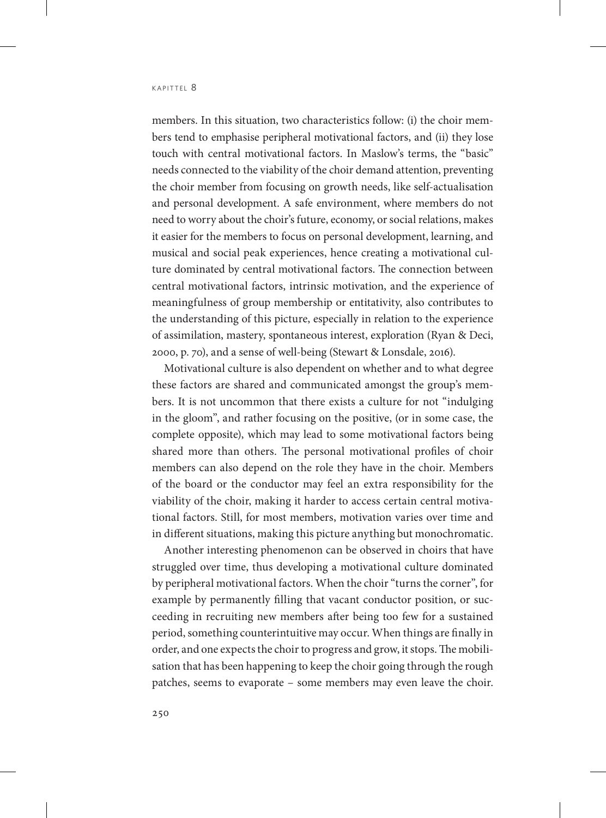members. In this situation, two characteristics follow: (i) the choir members tend to emphasise peripheral motivational factors, and (ii) they lose touch with central motivational factors. In Maslow's terms, the "basic" needs connected to the viability of the choir demand attention, preventing the choir member from focusing on growth needs, like self-actualisation and personal development. A safe environment, where members do not need to worry about the choir's future, economy, or social relations, makes it easier for the members to focus on personal development, learning, and musical and social peak experiences, hence creating a motivational culture dominated by central motivational factors. The connection between central motivational factors, intrinsic motivation, and the experience of meaningfulness of group membership or entitativity, also contributes to the understanding of this picture, especially in relation to the experience of assimilation, mastery, spontaneous interest, exploration (Ryan & Deci, 2000, p. 70), and a sense of well-being (Stewart & Lonsdale, 2016).

Motivational culture is also dependent on whether and to what degree these factors are shared and communicated amongst the group's members. It is not uncommon that there exists a culture for not "indulging in the gloom", and rather focusing on the positive, (or in some case, the complete opposite), which may lead to some motivational factors being shared more than others. The personal motivational profiles of choir members can also depend on the role they have in the choir. Members of the board or the conductor may feel an extra responsibility for the viability of the choir, making it harder to access certain central motivational factors. Still, for most members, motivation varies over time and in different situations, making this picture anything but monochromatic.

Another interesting phenomenon can be observed in choirs that have struggled over time, thus developing a motivational culture dominated by peripheral motivational factors. When the choir "turns the corner", for example by permanently filling that vacant conductor position, or succeeding in recruiting new members after being too few for a sustained period, something counterintuitive may occur. When things are finally in order, and one expects the choir to progress and grow, it stops. The mobilisation that has been happening to keep the choir going through the rough patches, seems to evaporate – some members may even leave the choir.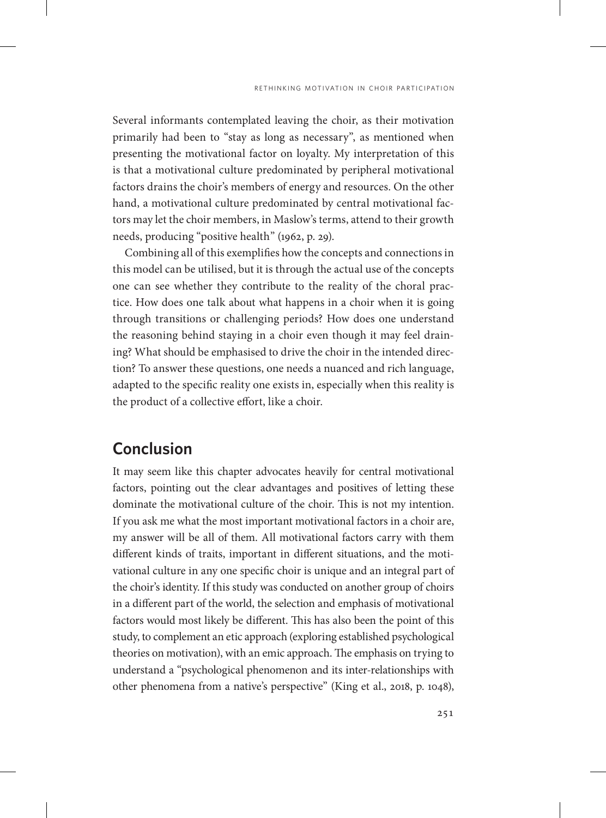Several informants contemplated leaving the choir, as their motivation primarily had been to "stay as long as necessary", as mentioned when presenting the motivational factor on loyalty. My interpretation of this is that a motivational culture predominated by peripheral motivational factors drains the choir's members of energy and resources. On the other hand, a motivational culture predominated by central motivational factors may let the choir members, in Maslow's terms, attend to their growth needs, producing "positive health" (1962, p. 29).

Combining all of this exemplifies how the concepts and connections in this model can be utilised, but it is through the actual use of the concepts one can see whether they contribute to the reality of the choral practice. How does one talk about what happens in a choir when it is going through transitions or challenging periods? How does one understand the reasoning behind staying in a choir even though it may feel draining? What should be emphasised to drive the choir in the intended direction? To answer these questions, one needs a nuanced and rich language, adapted to the specific reality one exists in, especially when this reality is the product of a collective effort, like a choir.

## **Conclusion**

It may seem like this chapter advocates heavily for central motivational factors, pointing out the clear advantages and positives of letting these dominate the motivational culture of the choir. This is not my intention. If you ask me what the most important motivational factors in a choir are, my answer will be all of them. All motivational factors carry with them different kinds of traits, important in different situations, and the motivational culture in any one specific choir is unique and an integral part of the choir's identity. If this study was conducted on another group of choirs in a different part of the world, the selection and emphasis of motivational factors would most likely be different. This has also been the point of this study, to complement an etic approach (exploring established psychological theories on motivation), with an emic approach. The emphasis on trying to understand a "psychological phenomenon and its inter-relationships with other phenomena from a native's perspective" (King et al., 2018, p. 1048),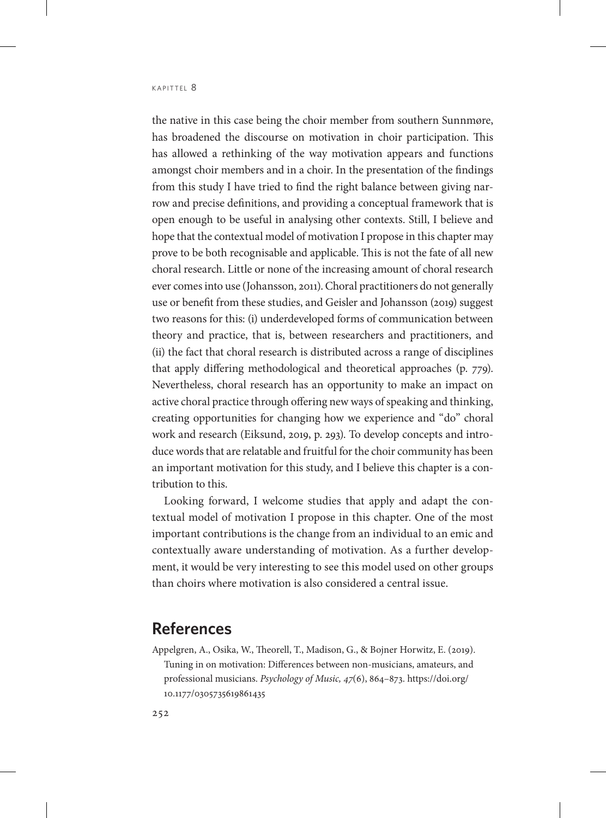the native in this case being the choir member from southern Sunnmøre, has broadened the discourse on motivation in choir participation. This has allowed a rethinking of the way motivation appears and functions amongst choir members and in a choir. In the presentation of the findings from this study I have tried to find the right balance between giving narrow and precise definitions, and providing a conceptual framework that is open enough to be useful in analysing other contexts. Still, I believe and hope that the contextual model of motivation I propose in this chapter may prove to be both recognisable and applicable. This is not the fate of all new choral research. Little or none of the increasing amount of choral research ever comes into use (Johansson, 2011). Choral practitioners do not generally use or benefit from these studies, and Geisler and Johansson (2019) suggest two reasons for this: (i) underdeveloped forms of communication between theory and practice, that is, between researchers and practitioners, and (ii) the fact that choral research is distributed across a range of disciplines that apply differing methodological and theoretical approaches (p. 779). Nevertheless, choral research has an opportunity to make an impact on active choral practice through offering new ways of speaking and thinking, creating opportunities for changing how we experience and "do" choral work and research (Eiksund, 2019, p. 293). To develop concepts and introduce words that are relatable and fruitful for the choir community has been an important motivation for this study, and I believe this chapter is a contribution to this.

Looking forward, I welcome studies that apply and adapt the contextual model of motivation I propose in this chapter. One of the most important contributions is the change from an individual to an emic and contextually aware understanding of motivation. As a further development, it would be very interesting to see this model used on other groups than choirs where motivation is also considered a central issue.

#### **References**

Appelgren, A., Osika, W., Theorell, T., Madison, G., & Bojner Horwitz, E. (2019). Tuning in on motivation: Differences between non-musicians, amateurs, and professional musicians. *Psychology of Music, 47*(6), 864–873. [https://doi.org/](https://doi.org/10.1177/0305735619861435) [10.1177/0305735619861435](https://doi.org/10.1177/0305735619861435)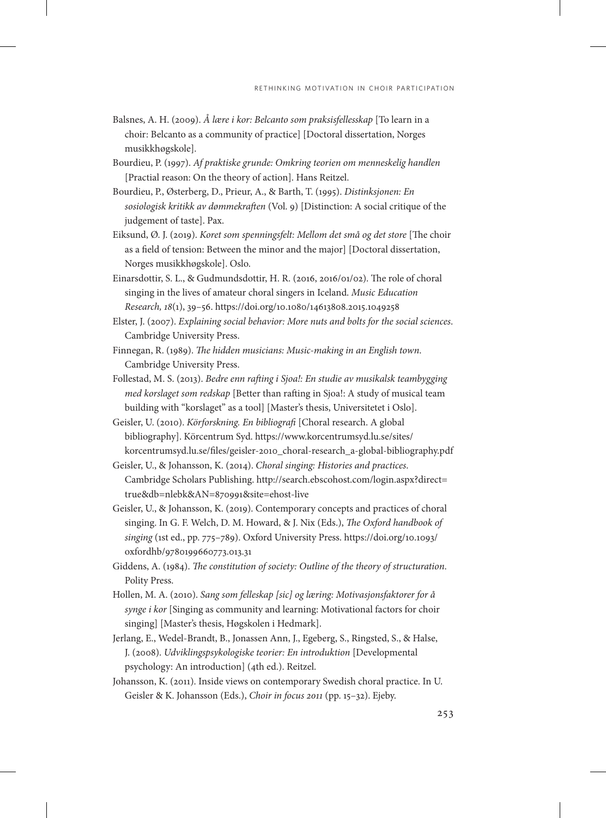- Balsnes, A. H. (2009). *Å lære i kor: Belcanto som praksisfellesskap* [To learn in a choir: Belcanto as a community of practice] [Doctoral dissertation, Norges musikkhøgskole].
- Bourdieu, P. (1997). *Af praktiske grunde: Omkring teorien om menneskelig handlen*  [Practial reason: On the theory of action]. Hans Reitzel.
- Bourdieu, P., Østerberg, D., Prieur, A., & Barth, T. (1995). *Distinksjonen: En sosiologisk kritikk av dømmekraften* (Vol. 9) [Distinction: A social critique of the judgement of taste]. Pax.
- Eiksund, Ø. J. (2019). *Koret som spenningsfelt: Mellom det små og det store* [The choir as a field of tension: Between the minor and the major] [Doctoral dissertation, Norges musikkhøgskole]. Oslo.
- Einarsdottir, S. L., & Gudmundsdottir, H. R. (2016, 2016/01/02). The role of choral singing in the lives of amateur choral singers in Iceland. *Music Education Research, 18*(1), 39–56. <https://doi.org/10.1080/14613808.2015.1049258>
- Elster, J. (2007). *Explaining social behavior: More nuts and bolts for the social sciences*. Cambridge University Press.
- Finnegan, R. (1989). *The hidden musicians: Music-making in an English town*. Cambridge University Press.
- Follestad, M. S. (2013). *Bedre enn rafting i Sjoa!: En studie av musikalsk teambygging med korslaget som redskap* [Better than rafting in Sjoa!: A study of musical team building with "korslaget" as a tool] [Master's thesis, Universitetet i Oslo].
- Geisler, U. (2010). *Körforskning. En bibliografi* [Choral research. A global bibliography]. Körcentrum Syd. [https://www.korcentrumsyd.lu.se/sites/](https://www.korcentrumsyd.lu.se/sites/korcentrumsyd.lu.se/files/geisler-2010_choral-research_a-global-bibliography.pdf) [korcentrumsyd.lu.se/files/geisler-2010\\_choral-research\\_a-global-bibliography.pdf](https://www.korcentrumsyd.lu.se/sites/korcentrumsyd.lu.se/files/geisler-2010_choral-research_a-global-bibliography.pdf)
- Geisler, U., & Johansson, K. (2014). *Choral singing: Histories and practices*. Cambridge Scholars Publishing. [http://search.ebscohost.com/login.aspx?direct=](http://search.ebscohost.com/login.aspx?direct=true&db=nlebk&AN=870991&site=ehost-live) [true&db=nlebk&AN=870991&site=ehost-live](http://search.ebscohost.com/login.aspx?direct=true&db=nlebk&AN=870991&site=ehost-live)
- Geisler, U., & Johansson, K. (2019). Contemporary concepts and practices of choral singing. In G. F. Welch, D. M. Howard, & J. Nix (Eds.), *The Oxford handbook of singing* (1st ed., pp. 775–789). Oxford University Press. [https://doi.org/10.1093/](https://doi.org/10.1093/oxfordhb/9780199660773.013.31) [oxfordhb/9780199660773.013.31](https://doi.org/10.1093/oxfordhb/9780199660773.013.31)
- Giddens, A. (1984). *The constitution of society: Outline of the theory of structuration*. Polity Press.
- Hollen, M. A. (2010). *Sang som felleskap [sic] og læring: Motivasjonsfaktorer for å synge i kor* [Singing as community and learning: Motivational factors for choir singing] [Master's thesis, Høgskolen i Hedmark].
- Jerlang, E., Wedel-Brandt, B., Jonassen Ann, J., Egeberg, S., Ringsted, S., & Halse, J. (2008). *Udviklingspsykologiske teorier: En introduktion* [Developmental psychology: An introduction] (4th ed.). Reitzel.
- Johansson, K. (2011). Inside views on contemporary Swedish choral practice. In U. Geisler & K. Johansson (Eds.), *Choir in focus 2011* (pp. 15–32). Ejeby.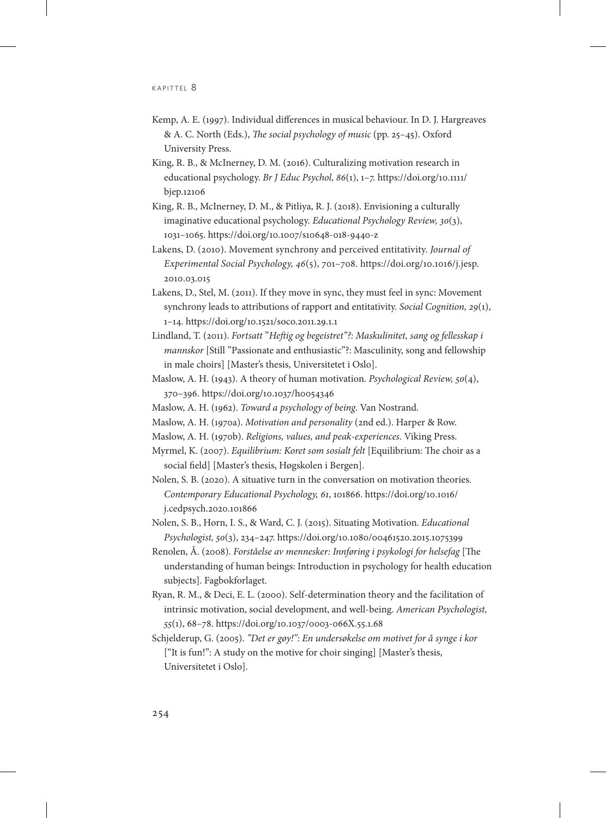- Kemp, A. E. (1997). Individual differences in musical behaviour. In D. J. Hargreaves & A. C. North (Eds.), *The social psychology of music* (pp. 25–45). Oxford University Press.
- King, R. B., & McInerney, D. M. (2016). Culturalizing motivation research in educational psychology. *Br J Educ Psychol, 86*(1), 1–7. [https://doi.org/10.1111/](https://doi.org/10.1111/bjep.12106) [bjep.12106](https://doi.org/10.1111/bjep.12106)
- King, R. B., McInerney, D. M., & Pitliya, R. J. (2018). Envisioning a culturally imaginative educational psychology. *Educational Psychology Review, 30*(3), 1031–1065. <https://doi.org/10.1007/s10648-018-9440-z>
- Lakens, D. (2010). Movement synchrony and perceived entitativity. *Journal of Experimental Social Psychology, 46*(5), 701–708. [https://doi.org/10.1016/j.jesp.](https://doi.org/10.1016/j.jesp.2010.03.015) [2010.03.015](https://doi.org/10.1016/j.jesp.2010.03.015)
- Lakens, D., Stel, M. (2011). If they move in sync, they must feel in sync: Movement synchrony leads to attributions of rapport and entitativity. *Social Cognition, 29*(1), 1–14. <https://doi.org/10.1521/soco.2011.29.1.1>
- Lindland, T. (2011). *Fortsatt* "*Heftig og begeistret"?: Maskulinitet, sang og fellesskap i mannskor* [Still "Passionate and enthusiastic"?: Masculinity, song and fellowship in male choirs] [Master's thesis, Universitetet i Oslo].
- Maslow, A. H. (1943). A theory of human motivation. *Psychological Review, 50*(4), 370–396.<https://doi.org/10.1037/h0054346>
- Maslow, A. H. (1962). *Toward a psychology of being*. Van Nostrand.
- Maslow, A. H. (1970a). *Motivation and personality* (2nd ed.). Harper & Row.
- Maslow, A. H. (1970b). *Religions, values, and peak-experiences*. Viking Press.
- Myrmel, K. (2007). *Equilibrium: Koret som sosialt felt* [Equilibrium: The choir as a social field] [Master's thesis, Høgskolen i Bergen].
- Nolen, S. B. (2020). A situative turn in the conversation on motivation theories. *Contemporary Educational Psychology, 61*, 101866. [https://doi.org/10.1016/](https://doi.org/10.1016/j.cedpsych.2020.101866) [j.cedpsych.2020.101866](https://doi.org/10.1016/j.cedpsych.2020.101866)
- Nolen, S. B., Horn, I. S., & Ward, C. J. (2015). Situating Motivation. *Educational Psychologist, 50*(3), 234–247. <https://doi.org/10.1080/00461520.2015.1075399>
- Renolen, Å. (2008). *Forståelse av mennesker: Innføring i psykologi for helsefag* [The understanding of human beings: Introduction in psychology for health education subjects]. Fagbokforlaget.
- Ryan, R. M., & Deci, E. L. (2000). Self-determination theory and the facilitation of intrinsic motivation, social development, and well-being. *American Psychologist, 55*(1), 68–78.<https://doi.org/10.1037/0003-066X.55.1.68>
- Schjelderup, G. (2005). *"Det er gøy!": En undersøkelse om motivet for å synge i kor*  ["It is fun!": A study on the motive for choir singing] [Master's thesis, Universitetet i Oslo].